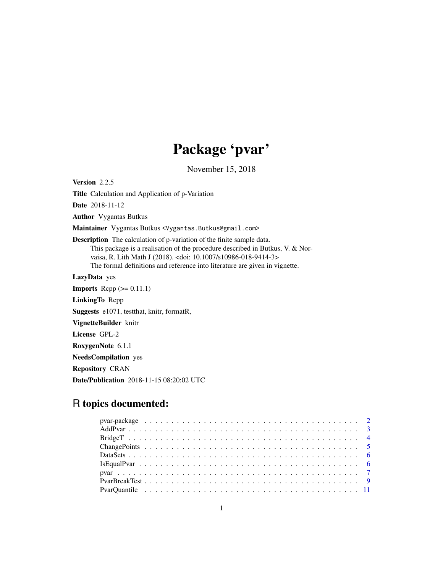## Package 'pvar'

November 15, 2018

<span id="page-0-0"></span>Version 2.2.5

Title Calculation and Application of p-Variation

Date 2018-11-12

Author Vygantas Butkus

Maintainer Vygantas Butkus <Vygantas.Butkus@gmail.com>

Description The calculation of p-variation of the finite sample data. This package is a realisation of the procedure described in Butkus, V. & Norvaisa, R. Lith Math J (2018). <doi: 10.1007/s10986-018-9414-3> The formal definitions and reference into literature are given in vignette.

LazyData yes

**Imports** Rcpp  $(>= 0.11.1)$ LinkingTo Rcpp Suggests e1071, testthat, knitr, formatR, VignetteBuilder knitr

License GPL-2

RoxygenNote 6.1.1

NeedsCompilation yes

Repository CRAN

Date/Publication 2018-11-15 08:20:02 UTC

### R topics documented: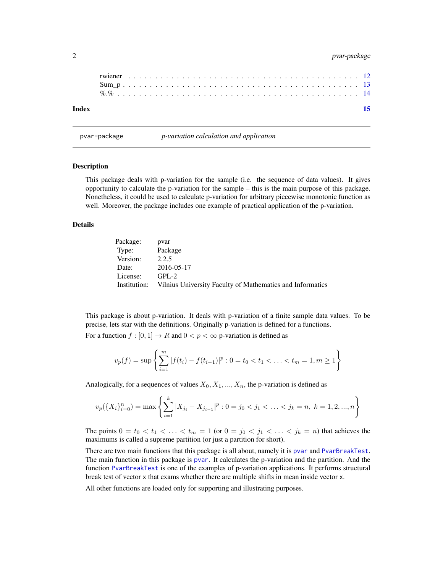#### <span id="page-1-0"></span>2 pvar-package

| Index |  |  |  |  |  |  |  |  |  |  |  |  |  |  |  |  |  |  |  |  |  | 15 |
|-------|--|--|--|--|--|--|--|--|--|--|--|--|--|--|--|--|--|--|--|--|--|----|
|       |  |  |  |  |  |  |  |  |  |  |  |  |  |  |  |  |  |  |  |  |  |    |
|       |  |  |  |  |  |  |  |  |  |  |  |  |  |  |  |  |  |  |  |  |  |    |
|       |  |  |  |  |  |  |  |  |  |  |  |  |  |  |  |  |  |  |  |  |  |    |
|       |  |  |  |  |  |  |  |  |  |  |  |  |  |  |  |  |  |  |  |  |  |    |

<span id="page-1-1"></span>pvar-package *p-variation calculation and application*

#### Description

This package deals with p-variation for the sample (i.e. the sequence of data values). It gives opportunity to calculate the p-variation for the sample – this is the main purpose of this package. Nonetheless, it could be used to calculate p-variation for arbitrary piecewise monotonic function as well. Moreover, the package includes one example of practical application of the p-variation.

#### Details

| Package: | pvar                                                                   |
|----------|------------------------------------------------------------------------|
| Type:    | Package                                                                |
| Version: | 2.2.5                                                                  |
| Date:    | 2016-05-17                                                             |
| License: | $GPI - 2$                                                              |
|          | Institution: Vilnius University Faculty of Mathematics and Informatics |

This package is about p-variation. It deals with p-variation of a finite sample data values. To be precise, lets star with the definitions. Originally p-variation is defined for a functions.

For a function  $f : [0, 1] \to R$  and  $0 < p < \infty$  p-variation is defined as

$$
v_p(f) = \sup \left\{ \sum_{i=1}^m |f(t_i) - f(t_{i-1})|^p : 0 = t_0 < t_1 < \ldots < t_m = 1, m \ge 1 \right\}
$$

Analogically, for a sequences of values  $X_0, X_1, ..., X_n$ , the p-variation is defined as

$$
v_p(\lbrace X_i \rbrace_{i=0}^n) = \max \left\{ \sum_{i=1}^k |X_{j_i} - X_{j_{i-1}}|^p : 0 = j_0 < j_1 < \ldots < j_k = n, \ k = 1, 2, \ldots, n \right\}
$$

The points  $0 = t_0 < t_1 < \ldots < t_m = 1$  (or  $0 = j_0 < j_1 < \ldots < j_k = n$ ) that achieves the maximums is called a supreme partition (or just a partition for short).

There are two main functions that this package is all about, namely it is [pvar](#page-6-1) and [PvarBreakTest](#page-8-1). The main function in this package is [pvar](#page-6-1). It calculates the p-variation and the partition. And the function [PvarBreakTest](#page-8-1) is one of the examples of p-variation applications. It performs structural break test of vector x that exams whether there are multiple shifts in mean inside vector x.

All other functions are loaded only for supporting and illustrating purposes.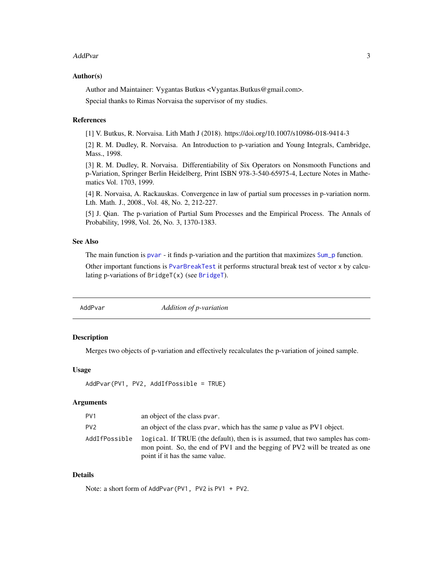#### <span id="page-2-0"></span>AddPvar 3

#### Author(s)

Author and Maintainer: Vygantas Butkus <Vygantas.Butkus@gmail.com>.

Special thanks to Rimas Norvaisa the supervisor of my studies.

#### References

[1] V. Butkus, R. Norvaisa. Lith Math J (2018). https://doi.org/10.1007/s10986-018-9414-3

[2] R. M. Dudley, R. Norvaisa. An Introduction to p-variation and Young Integrals, Cambridge, Mass., 1998.

[3] R. M. Dudley, R. Norvaisa. Differentiability of Six Operators on Nonsmooth Functions and p-Variation, Springer Berlin Heidelberg, Print ISBN 978-3-540-65975-4, Lecture Notes in Mathematics Vol. 1703, 1999.

[4] R. Norvaisa, A. Rackauskas. Convergence in law of partial sum processes in p-variation norm. Lth. Math. J., 2008., Vol. 48, No. 2, 212-227.

[5] J. Qian. The p-variation of Partial Sum Processes and the Empirical Process. The Annals of Probability, 1998, Vol. 26, No. 3, 1370-1383.

#### See Also

The main function is [pvar](#page-6-1) - it finds p-variation and the partition that maximizes [Sum\\_p](#page-12-1) function.

Other important functions is [PvarBreakTest](#page-8-1) it performs structural break test of vector x by calculating p-variations of  $BridgeT(x)$  $BridgeT(x)$  (see  $BridgeT$ ).

<span id="page-2-1"></span>

AddPvar *Addition of p-variation*

#### Description

Merges two objects of p-variation and effectively recalculates the p-variation of joined sample.

#### Usage

AddPvar(PV1, PV2, AddIfPossible = TRUE)

#### Arguments

| PV <sub>1</sub> | an object of the class pvar.                                                                                                                                                                    |
|-----------------|-------------------------------------------------------------------------------------------------------------------------------------------------------------------------------------------------|
| PV <sub>2</sub> | an object of the class pvar, which has the same p value as PV1 object.                                                                                                                          |
| AddIfPossible   | logical. If TRUE (the default), then is is assumed, that two samples has com-<br>mon point. So, the end of PV1 and the begging of PV2 will be treated as one<br>point if it has the same value. |

#### Details

Note: a short form of AddPvar(PV1, PV2 is PV1 + PV2.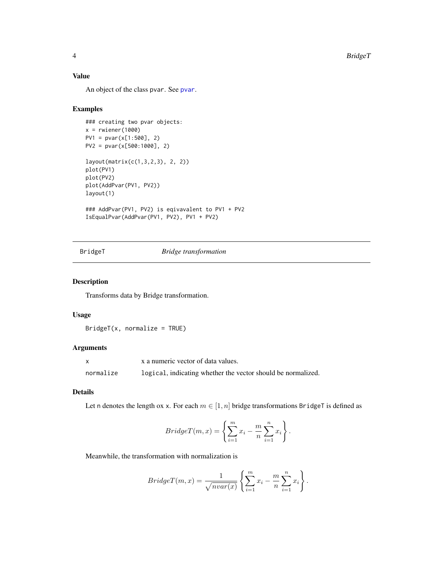#### <span id="page-3-0"></span>Value

An object of the class pvar. See [pvar](#page-6-1).

#### Examples

```
### creating two pvar objects:
x = rwiener(1000)
PV1 = pvar(x[1:500], 2)
PV2 = pvar(x[500:1000], 2)
layout(matrix(c(1,3,2,3), 2, 2))
plot(PV1)
plot(PV2)
plot(AddPvar(PV1, PV2))
layout(1)
### AddPvar(PV1, PV2) is eqivavalent to PV1 + PV2
IsEqualPvar(AddPvar(PV1, PV2), PV1 + PV2)
```
#### <span id="page-3-1"></span>BridgeT *Bridge transformation*

#### Description

Transforms data by Bridge transformation.

#### Usage

 $BridgeT(x, normalize = TRUE)$ 

#### Arguments

|           | x a numeric vector of data values.                           |
|-----------|--------------------------------------------------------------|
| normalize | logical, indicating whether the vector should be normalized. |

#### Details

Let n denotes the length ox x. For each  $m \in [1, n]$  bridge transformations BridgeT is defined as

$$
BridgeT(m, x) = \left\{ \sum_{i=1}^{m} x_i - \frac{m}{n} \sum_{i=1}^{n} x_i \right\}.
$$

Meanwhile, the transformation with normalization is

$$
BridgeT(m, x) = \frac{1}{\sqrt{nvar(x)}} \left\{ \sum_{i=1}^{m} x_i - \frac{m}{n} \sum_{i=1}^{n} x_i \right\}.
$$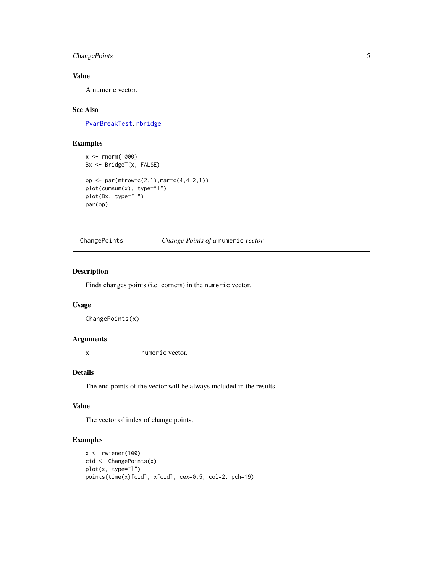#### <span id="page-4-0"></span>ChangePoints 5

#### Value

A numeric vector.

#### See Also

[PvarBreakTest](#page-8-1), [rbridge](#page-11-1)

#### Examples

```
x < - rnorm(1000)
Bx <- BridgeT(x, FALSE)
op <- par(mfrow=c(2,1),mar=c(4,4,2,1))
plot(cumsum(x), type="l")
plot(Bx, type="l")
par(op)
```
ChangePoints *Change Points of a* numeric *vector*

#### Description

Finds changes points (i.e. corners) in the numeric vector.

#### Usage

ChangePoints(x)

#### Arguments

x numeric vector.

#### Details

The end points of the vector will be always included in the results.

### Value

The vector of index of change points.

#### Examples

```
x <- rwiener(100)
cid <- ChangePoints(x)
plot(x, type="l")
points(time(x)[cid], x[cid], cex=0.5, col=2, pch=19)
```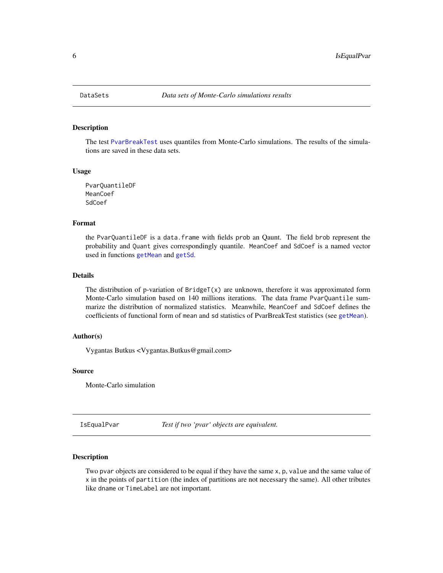<span id="page-5-0"></span>

#### <span id="page-5-2"></span>**Description**

The test [PvarBreakTest](#page-8-1) uses quantiles from Monte-Carlo simulations. The results of the simulations are saved in these data sets.

#### Usage

PvarQuantileDF MeanCoef SdCoef

#### Format

the PvarQuantileDF is a data.frame with fields prob an Qaunt. The field brob represent the probability and Quant gives correspondingly quantile. MeanCoef and SdCoef is a named vector used in functions [getMean](#page-10-1) and [getSd](#page-10-1).

#### Details

The distribution of p-variation of BridgeT $(x)$  are unknown, therefore it was approximated form Monte-Carlo simulation based on 140 millions iterations. The data frame PvarQuantile summarize the distribution of normalized statistics. Meanwhile, MeanCoef and SdCoef defines the coefficients of functional form of mean and sd statistics of PvarBreakTest statistics (see [getMean](#page-10-1)).

#### Author(s)

Vygantas Butkus <Vygantas.Butkus@gmail.com>

#### Source

Monte-Carlo simulation

<span id="page-5-1"></span>IsEqualPvar *Test if two 'pvar' objects are equivalent.*

#### Description

Two pvar objects are considered to be equal if they have the same x, p, value and the same value of x in the points of partition (the index of partitions are not necessary the same). All other tributes like dname or TimeLabel are not important.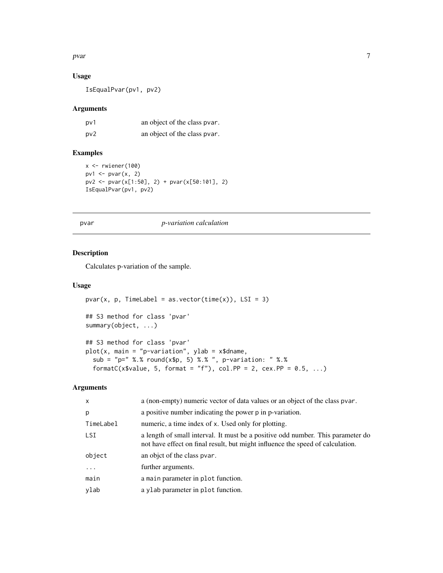#### <span id="page-6-0"></span>pvar 2008. I Samuel Stevens and the second state of the second state of the second state of the second state of the second state of the second state of the second state of the second state of the second state of the second

#### Usage

IsEqualPvar(pv1, pv2)

#### Arguments

| pv1 | an object of the class pvar. |
|-----|------------------------------|
| pv2 | an object of the class pvar. |

#### Examples

```
x <- rwiener(100)
pv1 \leftarrow pvar(x, 2)pv2 <- pvar(x[1:50], 2) + pvar(x[50:101], 2)
IsEqualPvar(pv1, pv2)
```
<span id="page-6-1"></span>

#### pvar *p-variation calculation*

#### Description

Calculates p-variation of the sample.

#### Usage

```
pvar(x, p, Timelabel = as.vector(time(x)), LSI = 3)## S3 method for class 'pvar'
summary(object, ...)
## S3 method for class 'pvar'
plot(x, main = "p-variation", ylab = x$dname,sub = "p=" %.% round(x$p, 5) %.% ", p-variation: " %.%
 formatC(x$value, 5, format = "f"), col.PP = 2, cex.PP = 0.5, ...)
```

| $\mathsf{x}$ | a (non-empty) numeric vector of data values or an object of the class pvar.                                                                                       |
|--------------|-------------------------------------------------------------------------------------------------------------------------------------------------------------------|
| p            | a positive number indicating the power p in p-variation.                                                                                                          |
| TimeLabel    | numeric, a time index of x. Used only for plotting.                                                                                                               |
| LSI.         | a length of small interval. It must be a positive odd number. This parameter do<br>not have effect on final result, but might influence the speed of calculation. |
| object       | an objet of the class pvar.                                                                                                                                       |
| $\cdots$     | further arguments.                                                                                                                                                |
| main         | a main parameter in plot function.                                                                                                                                |
| ylab         | a ylab parameter in plot function.                                                                                                                                |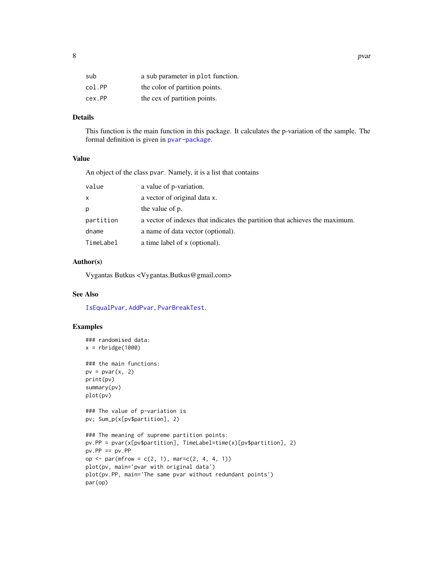<span id="page-7-0"></span>

| O<br>Ō | pvar<br>-- |
|--------|------------|
|--------|------------|

| sub    | a sub parameter in plot function. |
|--------|-----------------------------------|
| col.PP | the color of partition points.    |
| cex.PP | the cex of partition points.      |

#### Details

This function is the main function in this package. It calculates the p-variation of the sample. The formal definition is given in [pvar-package](#page-1-1).

#### Value

An object of the class pvar. Namely, it is a list that contains

| value     | a value of p-variation.                                                     |
|-----------|-----------------------------------------------------------------------------|
| x         | a vector of original data x.                                                |
| р         | the value of p.                                                             |
| partition | a vector of indexes that indicates the partition that achieves the maximum. |
| dname     | a name of data vector (optional).                                           |
| TimeLabel | a time label of x (optional).                                               |

#### Author(s)

Vygantas Butkus <Vygantas.Butkus@gmail.com>

#### See Also

[IsEqualPvar](#page-5-1), [AddPvar](#page-2-1), [PvarBreakTest](#page-8-1).

#### Examples

```
### randomised data:
x = \text{rbridge}(1000)### the main functions:
pv = pvar(x, 2)print(pv)
summary(pv)
plot(pv)
### The value of p-variation is
pv; Sum_p(x[pv$partition], 2)
### The meaning of supreme partition points:
pv.PP = pvar(x[pv$partition], TimeLabel=time(x)[pv$partition], 2)
pv.PP == pv.PPop <- par(mfrow = c(2, 1), mar=c(2, 4, 4, 1))
plot(pv, main='pvar with original data')
plot(pv.PP, main='The same pvar without redundant points')
par(op)
```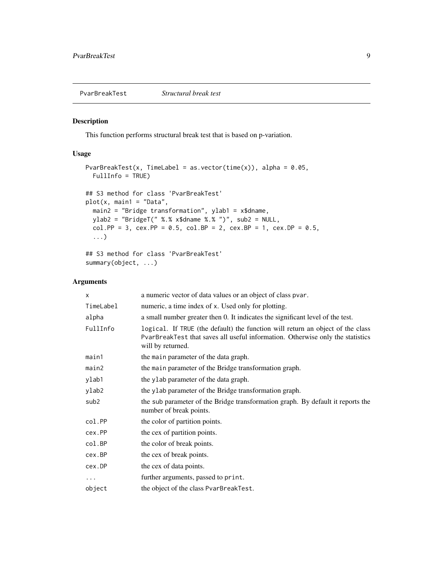<span id="page-8-1"></span><span id="page-8-0"></span>PvarBreakTest *Structural break test*

#### Description

This function performs structural break test that is based on p-variation.

#### Usage

```
PvarBreakTest(x, TimeLabel = as.vector(time(x)), alpha = 0.05,
 FullInfo = TRUE)
## S3 method for class 'PvarBreakTest'
plot(x, main1 = "Data",
 main2 = "Bridge transformation", ylab1 = x$dname,
 ylab2 = "BridgeT(" %.% x$dname %.% ")", sub2 = NULL,
 col.PP = 3, cex.PP = 0.5, col.BP = 2, cex.BP = 1, cex.DP = 0.5,
  ...)
## S3 method for class 'PvarBreakTest'
```

```
summary(object, ...)
```

| X                | a numeric vector of data values or an object of class pvar.                                                                                                                           |
|------------------|---------------------------------------------------------------------------------------------------------------------------------------------------------------------------------------|
| TimeLabel        | numeric, a time index of x. Used only for plotting.                                                                                                                                   |
| alpha            | a small number greater then 0. It indicates the significant level of the test.                                                                                                        |
| FullInfo         | logical. If TRUE (the default) the function will return an object of the class<br>PvarBreakTest that saves all useful information. Otherwise only the statistics<br>will by returned. |
| main1            | the main parameter of the data graph.                                                                                                                                                 |
| main2            | the main parameter of the Bridge transformation graph.                                                                                                                                |
| ylab1            | the ylab parameter of the data graph.                                                                                                                                                 |
| ylab2            | the y Lab parameter of the Bridge transformation graph.                                                                                                                               |
| sub <sub>2</sub> | the sub parameter of the Bridge transformation graph. By default it reports the<br>number of break points.                                                                            |
| col.PP           | the color of partition points.                                                                                                                                                        |
| cex.PP           | the cex of partition points.                                                                                                                                                          |
| col.BP           | the color of break points.                                                                                                                                                            |
| cex.BP           | the cex of break points.                                                                                                                                                              |
| cex.DP           | the cex of data points.                                                                                                                                                               |
| $\cdots$         | further arguments, passed to print.                                                                                                                                                   |
| object           | the object of the class PvarBreakTest.                                                                                                                                                |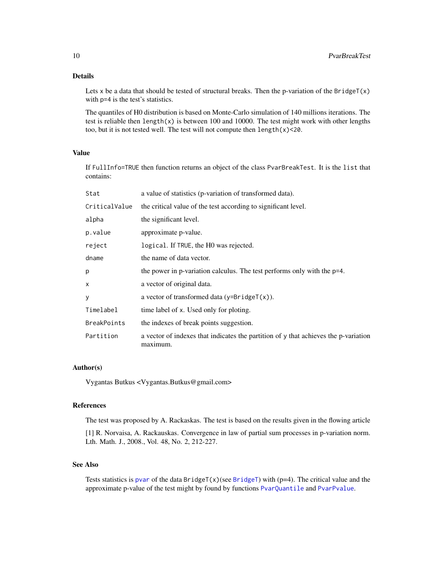#### <span id="page-9-0"></span>Details

Lets x be a data that should be tested of structural breaks. Then the p-variation of the BridgeT $(x)$ with p=4 is the test's statistics.

The quantiles of H0 distribution is based on Monte-Carlo simulation of 140 millions iterations. The test is reliable then length(x) is between 100 and 10000. The test might work with other lengths too, but it is not tested well. The test will not compute then  $length(x) < 20$ .

#### Value

If FullInfo=TRUE then function returns an object of the class PvarBreakTest. It is the list that contains:

| Stat               | a value of statistics (p-variation of transformed data).                                        |
|--------------------|-------------------------------------------------------------------------------------------------|
| CriticalValue      | the critical value of the test according to significant level.                                  |
| alpha              | the significant level.                                                                          |
| p.value            | approximate p-value.                                                                            |
| reject             | logical. If TRUE, the HO was rejected.                                                          |
| dname              | the name of data vector.                                                                        |
| p                  | the power in p-variation calculus. The test performs only with the p=4.                         |
| X                  | a vector of original data.                                                                      |
| y                  | a vector of transformed data $(y=BridgeT(x))$ .                                                 |
| Timelabel          | time label of x. Used only for ploting.                                                         |
| <b>BreakPoints</b> | the indexes of break points suggestion.                                                         |
| Partition          | a vector of indexes that indicates the partition of y that achieves the p-variation<br>maximum. |

#### Author(s)

Vygantas Butkus <Vygantas.Butkus@gmail.com>

#### References

The test was proposed by A. Rackaskas. The test is based on the results given in the flowing article

[1] R. Norvaisa, A. Rackauskas. Convergence in law of partial sum processes in p-variation norm. Lth. Math. J., 2008., Vol. 48, No. 2, 212-227.

#### See Also

Tests statistics is [pvar](#page-6-1) of the data  $BridgeT(x)(see BridgeT)$  $BridgeT(x)(see BridgeT)$  with (p=4). The critical value and the approximate p-value of the test might by found by functions [PvarQuantile](#page-10-2) and [PvarPvalue](#page-10-1).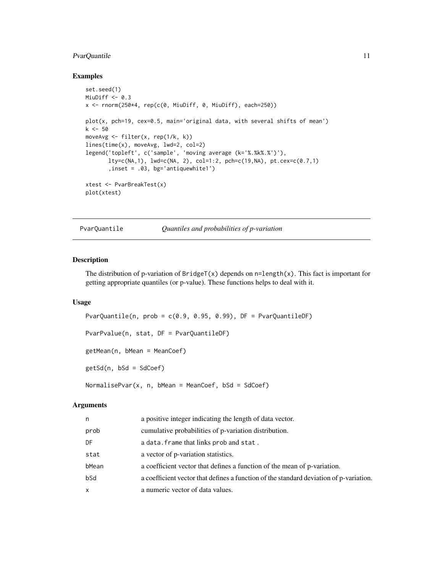#### <span id="page-10-0"></span>PvarQuantile 11

#### Examples

```
set.seed(1)
MiuDiff <- 0.3
x <- rnorm(250*4, rep(c(0, MiuDiff, 0, MiuDiff), each=250))
plot(x, pch=19, cex=0.5, main='original data, with several shifts of mean')
k <- 50
moveAvg <- filter(x, rep(1/k, k))
lines(time(x), moveAvg, lwd=2, col=2)
legend('topleft', c('sample', 'moving average (k='%.%k%.%')'),
       lty=c(NA,1), lwd=c(NA, 2), col=1:2, pch=c(19,NA), pt.cex=c(0.7,1)
       ,inset = .03, bg='antiquewhite1')
xtest <- PvarBreakTest(x)
plot(xtest)
```
<span id="page-10-2"></span>

PvarQuantile *Quantiles and probabilities of p-variation*

#### <span id="page-10-1"></span>Description

The distribution of p-variation of  $\text{BridgeT}(x)$  depends on  $n = \text{length}(x)$ . This fact is important for getting appropriate quantiles (or p-value). These functions helps to deal with it.

#### Usage

```
PvarQuantile(n, prob = c(0.9, 0.95, 0.99), DF = PvarQuantileDF)
PvarPvalue(n, stat, DF = PvarQuantileDF)
getMean(n, bMean = MeanCoef)
getSd(n, bSd = SdCoef)
```
 $NormalisePvar(x, n, bMean = MeanCoef, bSd = SdCoef)$ 

| n     | a positive integer indicating the length of data vector.                               |
|-------|----------------------------------------------------------------------------------------|
| prob  | cumulative probabilities of p-variation distribution.                                  |
| DF    | a data. frame that links prob and stat.                                                |
| stat  | a vector of p-variation statistics.                                                    |
| bMean | a coefficient vector that defines a function of the mean of p-variation.               |
| bSd   | a coefficient vector that defines a function of the standard deviation of p-variation. |
| X.    | a numeric vector of data values.                                                       |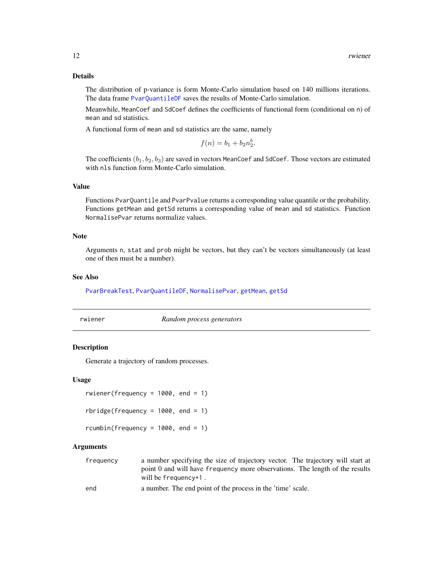#### <span id="page-11-0"></span>Details

The distribution of p-variance is form Monte-Carlo simulation based on 140 millions iterations. The data frame [PvarQuantileDF](#page-5-2) saves the results of Monte-Carlo simulation.

Meanwhile, MeanCoef and SdCoef defines the coefficients of functional form (conditional on n) of mean and sd statistics.

A functional form of mean and sd statistics are the same, namely

$$
f(n) = b_1 + b_2 n_2^b.
$$

The coefficients  $(b_1, b_2, b_3)$  are saved in vectors MeanCoef and SdCoef. Those vectors are estimated with nls function form Monte-Carlo simulation.

#### Value

Functions PvarQuantile and PvarPvalue returns a corresponding value quantile or the probability. Functions getMean and getSd returns a corresponding value of mean and sd statistics. Function NormalisePvar returns normalize values.

#### Note

Arguments n, stat and prob might be vectors, but they can't be vectors simultaneously (at least one of then must be a number).

#### See Also

[PvarBreakTest](#page-8-1), [PvarQuantileDF](#page-5-2), [NormalisePvar](#page-10-1), [getMean](#page-10-1), [getSd](#page-10-1)

| rwiener |
|---------|

**Random process generators** 

#### <span id="page-11-1"></span>Description

Generate a trajectory of random processes.

#### Usage

```
rwiener(frequency = 1000, end = 1)
rbridge(frequency = 1000, end = 1)rcumbin(frequency = 1000, end = 1)
```
- frequency a number specifying the size of trajectory vector. The trajectory will start at point 0 and will have frequency more observations. The length of the results will be frequency+1 .
- end a number. The end point of the process in the 'time' scale.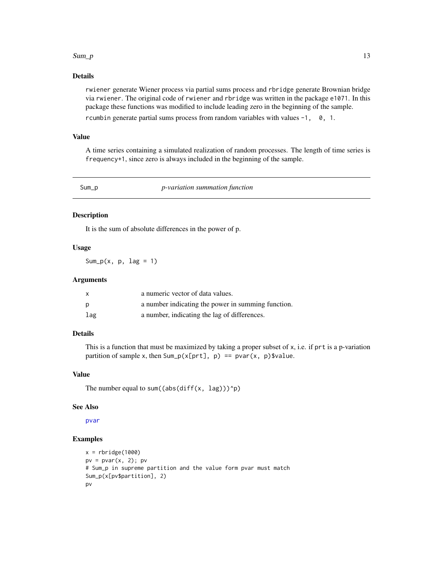#### <span id="page-12-0"></span> $Sum_p$  13

#### Details

rwiener generate Wiener process via partial sums process and rbridge generate Brownian bridge via rwiener. The original code of rwiener and rbridge was written in the package e1071. In this package these functions was modified to include leading zero in the beginning of the sample.

rcumbin generate partial sums process from random variables with values -1, 0, 1.

#### Value

A time series containing a simulated realization of random processes. The length of time series is frequency+1, since zero is always included in the beginning of the sample.

<span id="page-12-1"></span>Sum\_p *p-variation summation function*

#### Description

It is the sum of absolute differences in the power of p.

#### Usage

Sum\_p(x,  $p$ , lag = 1)

#### Arguments

| X   | a numeric vector of data values.                   |
|-----|----------------------------------------------------|
| p   | a number indicating the power in summing function. |
| lag | a number, indicating the lag of differences.       |

#### Details

This is a function that must be maximized by taking a proper subset of  $x$ , i.e. if prt is a p-variation partition of sample x, then Sum\_p(x[prt], p) == pvar(x, p)\$value.

#### Value

The number equal to sum((abs(diff(x, lag)))^p)

#### See Also

[pvar](#page-6-1)

#### Examples

```
x = \text{rbridge}(1000)pv = pvar(x, 2); pv
# Sum_p in supreme partition and the value form pvar must match
Sum_p(x[pv$partition], 2)
pv
```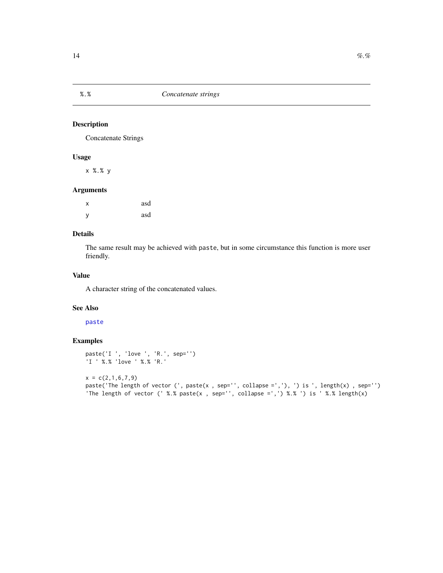#### Description

Concatenate Strings

#### Usage

x %.% y

#### Arguments

| X | asd |
|---|-----|
| y | asd |

#### Details

The same result may be achieved with paste, but in some circumstance this function is more user friendly.

#### Value

A character string of the concatenated values.

#### See Also

#### [paste](#page-0-0)

#### Examples

```
paste('I ', 'love ', 'R.', sep='')
'I ' %.% 'love ' %.% 'R.'
```
 $x = c(2,1,6,7,9)$ paste('The length of vector (', paste(x , sep='', collapse =','), ') is ', length(x) , sep='') 'The length of vector (' %.% paste(x , sep='', collapse =',') %.% ') is ' %.% length(x)

<span id="page-13-0"></span>